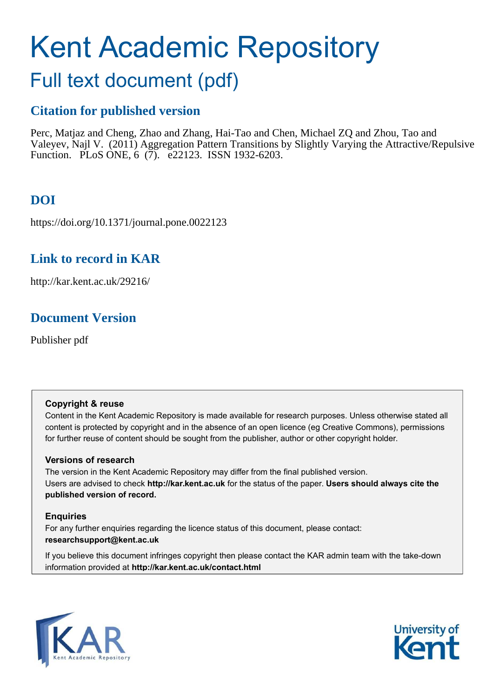# Kent Academic Repository

# Full text document (pdf)

# **Citation for published version**

Perc, Matjaz and Cheng, Zhao and Zhang, Hai-Tao and Chen, Michael ZQ and Zhou, Tao and Valeyev, Najl V. (2011) Aggregation Pattern Transitions by Slightly Varying the Attractive/Repulsive Function. PLoS ONE, 6 (7). e22123. ISSN 1932-6203.

# **DOI**

https://doi.org/10.1371/journal.pone.0022123

# **Link to record in KAR**

http://kar.kent.ac.uk/29216/

# **Document Version**

Publisher pdf

# **Copyright & reuse**

Content in the Kent Academic Repository is made available for research purposes. Unless otherwise stated all content is protected by copyright and in the absence of an open licence (eg Creative Commons), permissions for further reuse of content should be sought from the publisher, author or other copyright holder.

# **Versions of research**

The version in the Kent Academic Repository may differ from the final published version. Users are advised to check **http://kar.kent.ac.uk** for the status of the paper. **Users should always cite the published version of record.**

# **Enquiries**

For any further enquiries regarding the licence status of this document, please contact: **researchsupport@kent.ac.uk**

If you believe this document infringes copyright then please contact the KAR admin team with the take-down information provided at **http://kar.kent.ac.uk/contact.html**



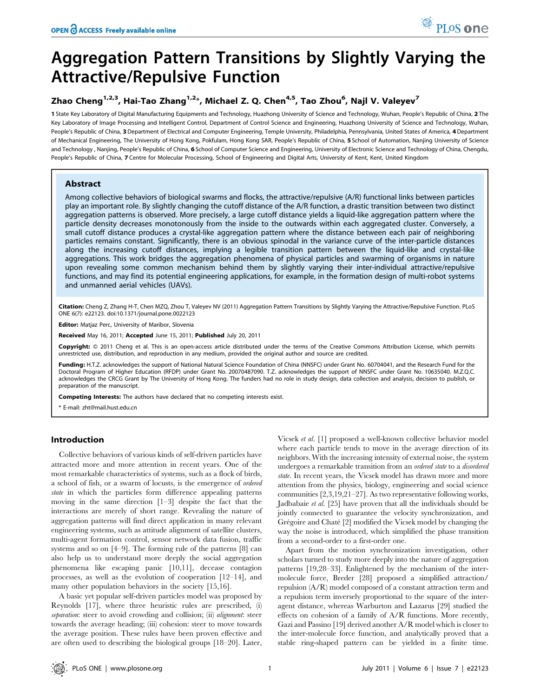# Aggregation Pattern Transitions by Slightly Varying the Attractive/Repulsive Function

## Zhao Cheng $^{1,2,3}$ , Hai-Tao Zhang $^{1,2_\ast}$ , Michael Z. Q. Chen $^{4,5}$ , Tao Zhou $^6$ , Najl V. Valeyev $^7$

1 State Key Laboratory of Digital Manufacturing Equipments and Technology, Huazhong University of Science and Technology, Wuhan, People's Republic of China, 2 The Key Laboratory of Image Processing and Intelligent Control, Department of Control Science and Engineering, Huazhong University of Science and Technology, Wuhan, People's Republic of China, 3 Department of Electrical and Computer Engineering, Temple University, Philadelphia, Pennsylvania, United States of America, 4 Department of Mechanical Engineering, The University of Hong Kong, Pokfulam, Hong Kong SAR, People's Republic of China, 5 School of Automation, Nanjing University of Science and Technology, Nanjing, People's Republic of China, 6 School of Computer Science and Engineering, University of Electronic Science and Technology of China, Chengdu, People's Republic of China, 7 Centre for Molecular Processing, School of Engineering and Digital Arts, University of Kent, Kent, United Kingdom

## Abstract

Among collective behaviors of biological swarms and flocks, the attractive/repulsive (A/R) functional links between particles play an important role. By slightly changing the cutoff distance of the A/R function, a drastic transition between two distinct aggregation patterns is observed. More precisely, a large cutoff distance yields a liquid-like aggregation pattern where the particle density decreases monotonously from the inside to the outwards within each aggregated cluster. Conversely, a small cutoff distance produces a crystal-like aggregation pattern where the distance between each pair of neighboring particles remains constant. Significantly, there is an obvious spinodal in the variance curve of the inter-particle distances along the increasing cutoff distances, implying a legible transition pattern between the liquid-like and crystal-like aggregations. This work bridges the aggregation phenomena of physical particles and swarming of organisms in nature upon revealing some common mechanism behind them by slightly varying their inter-individual attractive/repulsive functions, and may find its potential engineering applications, for example, in the formation design of multi-robot systems and unmanned aerial vehicles (UAVs).

Citation: Cheng Z, Zhang H-T, Chen MZQ, Zhou T, Valeyev NV (2011) Aggregation Pattern Transitions by Slightly Varying the Attractive/Repulsive Function. PLoS ONE 6(7): e22123. doi:10.1371/journal.pone.0022123

Editor: Matjaz Perc, University of Maribor, Slovenia

Received May 16, 2011; Accepted June 15, 2011; Published July 20, 2011

Copyright: @ 2011 Cheng et al. This is an open-access article distributed under the terms of the Creative Commons Attribution License, which permits unrestricted use, distribution, and reproduction in any medium, provided the original author and source are credited.

Funding: H.T.Z. acknowledges the support of National Natural Science Foundation of China (NNSFC) under Grant No. 60704041, and the Research Fund for the Doctoral Program of Higher Education (RFDP) under Grant No. 20070487090. T.Z. acknowledges the support of NNSFC under Grant No. 10635040. M.Z.Q.C. acknowledges the CRCG Grant by The University of Hong Kong. The funders had no role in study design, data collection and analysis, decision to publish, or preparation of the manuscript.

Competing Interests: The authors have declared that no competing interests exist.

\* E-mail: zht@mail.hust.edu.cn

## Introduction

Collective behaviors of various kinds of self-driven particles have attracted more and more attention in recent years. One of the most remarkable characteristics of systems, such as a flock of birds, a school of fish, or a swarm of locusts, is the emergence of ordered state in which the particles form difference appealing patterns moving in the same direction [1–3] despite the fact that the interactions are merely of short range. Revealing the nature of aggregation patterns will find direct application in many relevant engineering systems, such as attitude alignment of satellite clusters, multi-agent formation control, sensor network data fusion, traffic systems and so on [4–9]. The forming rule of the patterns [8] can also help us to understand more deeply the social aggregation phenomena like escaping panic [10,11], decease contagion processes, as well as the evolution of cooperation [12–14], and many other population behaviors in the society [15,16].

A basic yet popular self-driven particles model was proposed by Reynolds [17], where three heuristic rules are prescribed, (i) separation: steer to avoid crowding and collision; (ii) alignment: steer towards the average heading; (iii) cohesion: steer to move towards the average position. These rules have been proven effective and are often used to describing the biological groups [18–20]. Later, Vicsek et al. [1] proposed a well-known collective behavior model where each particle tends to move in the average direction of its neighbors. With the increasing intensity of external noise, the system undergoes a remarkable transition from an ordered state to a disordered state. In recent years, the Vicsek model has drawn more and more attention from the physics, biology, engineering and social science communities [2,3,19,21–27]. As two representative following works, Jadbabaie et al. [25] have proven that all the individuals should be jointly connected to guarantee the velocity synchronization, and Grégoire and Chaté [2] modified the Vicsek model by changing the way the noise is introduced, which simplified the phase transition from a second-order to a first-order one.

Apart from the motion synchronization investigation, other scholars turned to study more deeply into the nature of aggregation patterns [19,28–33]. Enlightened by the mechanism of the intermolecule force, Breder [28] proposed a simplified attraction/ repulsion (A/R) model composed of a constant attraction term and a repulsion term inversely proportional to the square of the interagent distance, whereas Warburton and Lazarus [29] studied the effects on cohesion of a family of A/R functions. More recently, Gazi and Passino [19] derived another A/R model which is closer to the inter-molecule force function, and analytically proved that a stable ring-shaped pattern can be yielded in a finite time.

PLoS one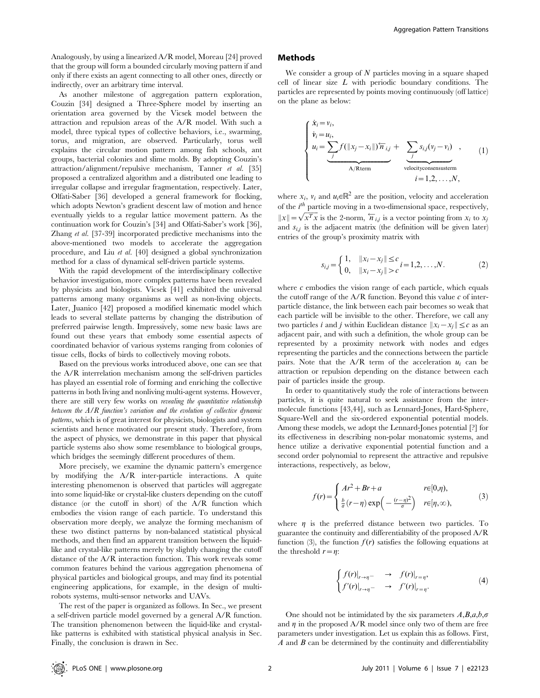Analogously, by using a linearized A/R model, Moreau [24] proved that the group will form a bounded circularly moving pattern if and only if there exists an agent connecting to all other ones, directly or indirectly, over an arbitrary time interval.

As another milestone of aggregation pattern exploration, Couzin [34] designed a Three-Sphere model by inserting an orientation area governed by the Vicsek model between the attraction and repulsion areas of the A/R model. With such a model, three typical types of collective behaviors, i.e., swarming, torus, and migration, are observed. Particularly, torus well explains the circular motion pattern among fish schools, ant groups, bacterial colonies and slime molds. By adopting Couzin's attraction/alignment/repulsive mechanism, Tanner et al. [35] proposed a centralized algorithm and a distributed one leading to irregular collapse and irregular fragmentation, respectively. Later, Olfati-Saber [36] developed a general framework for flocking, which adopts Newton's gradient descent law of motion and hence eventually yields to a regular lattice movement pattern. As the continuation work for Couzin's [34] and Olfati-Saber's work [36], Zhang et al. [37-39] incorporated predictive mechanisms into the above-mentioned two models to accelerate the aggregation procedure, and Liu et al. [40] designed a global synchronization method for a class of dynamical self-driven particle systems.

With the rapid development of the interdisciplinary collective behavior investigation, more complex patterns have been revealed by physicists and biologists. Vicsek [41] exhibited the universal patterns among many organisms as well as non-living objects. Later, Juanico [42] proposed a modified kinematic model which leads to several stellate patterns by changing the distribution of preferred pairwise length. Impressively, some new basic laws are found out these years that embody some essential aspects of coordinated behavior of various systems ranging from colonies of tissue cells, flocks of birds to collectively moving robots.

Based on the previous works introduced above, one can see that the A/R interrelation mechanism among the self-driven particles has played an essential role of forming and enriching the collective patterns in both living and nonliving multi-agent systems. However, there are still very few works on revealing the quantitative relationship between the  $A/R$  function's variation and the evolution of collective dynamic patterns, which is of great interest for physicists, biologists and system scientists and hence motivated our present study. Therefore, from the aspect of physics, we demonstrate in this paper that physical particle systems also show some resemblance to biological groups, which bridges the seemingly different procedures of them.

More precisely, we examine the dynamic pattern's emergence by modifying the A/R inter-particle interactions. A quite interesting phenomenon is observed that particles will aggregate into some liquid-like or crystal-like clusters depending on the cutoff distance (or the cutoff in short) of the A/R function which embodies the vision range of each particle. To understand this observation more deeply, we analyze the forming mechanism of these two distinct patterns by non-balanced statistical physical methods, and then find an apparent transition between the liquidlike and crystal-like patterns merely by slightly changing the cutoff distance of the A/R interaction function. This work reveals some common features behind the various aggregation phenomena of physical particles and biological groups, and may find its potential engineering applications, for example, in the design of multirobots systems, multi-sensor networks and UAVs.

The rest of the paper is organized as follows. In Sec., we present a self-driven particle model governed by a general A/R function. The transition phenomenon between the liquid-like and crystallike patterns is exhibited with statistical physical analysis in Sec. Finally, the conclusion is drawn in Sec.

### Methods

We consider a group of  $N$  particles moving in a square shaped cell of linear size  $L$  with periodic boundary conditions. The particles are represented by points moving continuously (off lattice) on the plane as below:

$$
\begin{cases}\n\dot{x}_i = v_i, \\
\dot{v}_i = u_i, \\
u_i = \sum_j f(||x_j - x_i||) \tilde{n}_{i,j} + \sum_j s_{i,j}(v_j - v_i) , \\
\hline\nA/Rterm\n\end{cases}
$$
\n(1)  
\n $i = 1, 2, ..., N,$ 

where  $x_i$ ,  $v_i$  and  $u_i \in \mathbb{R}^2$  are the position, velocity and acceleration of the  $i<sup>th</sup>$  particle moving in a two-dimensional space, respectively,  $||x|| = \sqrt{x^T x}$  is the 2-norm,  $\overleftarrow{n}_{i,j}$  is a vector pointing from  $x_i$  to  $x_j$ and  $s_{i,j}$  is the adjacent matrix (the definition will be given later) entries of the group's proximity matrix with

$$
s_{i,j} = \begin{cases} 1, & \|x_i - x_j\| \le c \\ 0, & \|x_i - x_j\| > c \end{cases} \quad i = 1, 2, \dots, N. \tag{2}
$$

where  $c$  embodies the vision range of each particle, which equals the cutoff range of the  $A/R$  function. Beyond this value  $c$  of interparticle distance, the link between each pair becomes so weak that each particle will be invisible to the other. Therefore, we call any two particles *i* and *j* within Euclidean distance  $||x_i - x_j|| \leq c$  as an adjacent pair, and with such a definition, the whole group can be represented by a proximity network with nodes and edges representing the particles and the connections between the particle pairs. Note that the  $A/R$  term of the acceleration  $u_i$  can be attraction or repulsion depending on the distance between each pair of particles inside the group.

In order to quantitatively study the role of interactions between particles, it is quite natural to seek assistance from the intermolecule functions [43,44], such as Lennard-Jones, Hard-Sphere, Square-Well and the six-ordered exponential potential models. Among these models, we adopt the Lennard-Jones potential [?] for its effectiveness in describing non-polar monatomic systems, and hence utilize a derivative exponential potential function and a second order polynomial to represent the attractive and repulsive interactions, respectively, as below,

$$
f(r) = \begin{cases} Ar^2 + Br + a & r \in [0, \eta), \\ \frac{b}{\sigma}(r - \eta) \exp\left(-\frac{(r - \eta)^2}{\sigma}\right) & r \in [\eta, \infty), \end{cases}
$$
(3)

where  $\eta$  is the preferred distance between two particles. To guarantee the continuity and differentiability of the proposed A/R function (3), the function  $f(r)$  satisfies the following equations at the threshold  $r=\eta$ :

$$
\begin{cases}\nf(r)|_{r \to \eta^{-}} & \to \quad f(r)|_{r = \eta}, \\
f'(r)|_{r \to \eta^{-}} & \to \quad f'(r)|_{r = \eta}.\n\end{cases} \tag{4}
$$

One should not be intimidated by the six parameters  $A, B, a, b, \sigma$ and  $\eta$  in the proposed A/R model since only two of them are free parameters under investigation. Let us explain this as follows. First,  $A$  and  $B$  can be determined by the continuity and differentiability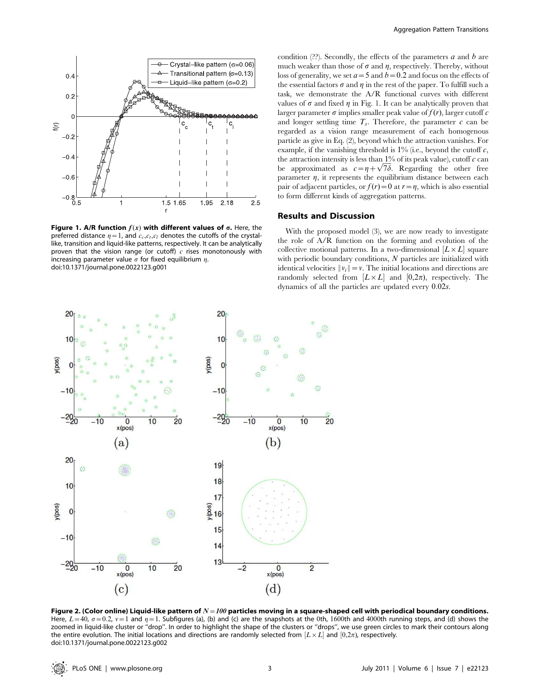

Figure 1. A/R function  $f(x)$  with different values of  $\sigma$ . Here, the preferred distance  $\eta = 1$ , and  $c_c, c_t, c_l$  denotes the cutoffs of the crystallike, transition and liquid-like patterns, respectively. It can be analytically proven that the vision range (or cutoff)  $c$  rises monotonously with increasing parameter value  $\sigma$  for fixed equilibrium  $\eta$ . doi:10.1371/journal.pone.0022123.g001

condition  $(?)$ . Secondly, the effects of the parameters a and b are much weaker than those of  $\sigma$  and  $\eta$ , respectively. Thereby, without loss of generality, we set  $a=5$  and  $b=0.2$  and focus on the effects of the essential factors  $\sigma$  and  $\eta$  in the rest of the paper. To fulfill such a task, we demonstrate the A/R functional curves with different values of  $\sigma$  and fixed  $\eta$  in Fig. 1. It can be analytically proven that larger parameter  $\sigma$  implies smaller peak value of  $f(r)$ , larger cutoff c and longer settling time  $T_s$ . Therefore, the parameter  $c$  can be regarded as a vision range measurement of each homogenous particle as give in Eq. (2), beyond which the attraction vanishes. For example, if the vanishing threshold is  $1\%$  (i.e., beyond the cutoff c, the attraction intensity is less than  $1\%$  of its peak value), cutoff  $c$  can be approximated as  $c = \eta + \sqrt{7\delta}$ . Regarding the other free parameter  $\eta$ , it represents the equilibrium distance between each pair of adjacent particles, or  $f(r) = 0$  at  $r = \eta$ , which is also essential to form different kinds of aggregation patterns.

## Results and Discussion

With the proposed model (3), we are now ready to investigate the role of A/R function on the forming and evolution of the collective motional patterns. In a two-dimensional  $[L \times L]$  square with periodic boundary conditions, N particles are initialized with identical velocities  $||v_i|| = v$ . The initial locations and directions are randomly selected from  $[L \times L]$  and  $[0,2\pi)$ , respectively. The dynamics of all the particles are updated every 0:02s.



Figure 2. (Color online) Liquid-like pattern of  $N=100$  particles moving in a square-shaped cell with periodical boundary conditions. Here,  $L=40$ ,  $\sigma=0.2$ ,  $\nu=1$  and  $\eta=1$ . Subfigures (a), (b) and (c) are the snapshots at the 0th, 1600th and 4000th running steps, and (d) shows the zoomed in liquid-like cluster or ''drop''. In order to highlight the shape of the clusters or ''drops'', we use green circles to mark their contours along the entire evolution. The initial locations and directions are randomly selected from  $[L \times L]$  and  $[0,2\pi)$ , respectively. doi:10.1371/journal.pone.0022123.g002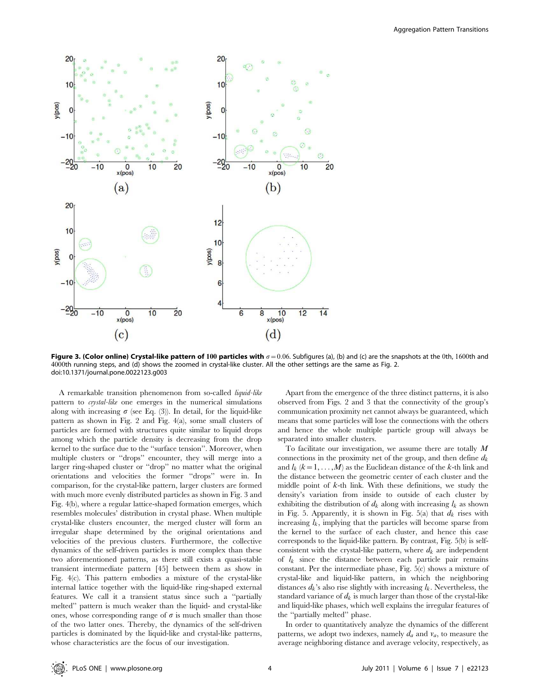

Figure 3. (Color online) Crystal-like pattern of 100 particles with  $\sigma = 0.06$ . Subfigures (a), (b) and (c) are the snapshots at the 0th, 1600th and 4000th running steps, and (d) shows the zoomed in crystal-like cluster. All the other settings are the same as Fig. 2. doi:10.1371/journal.pone.0022123.g003

A remarkable transition phenomenon from so-called liquid-like pattern to crystal-like one emerges in the numerical simulations along with increasing  $\sigma$  (see Eq. (3)). In detail, for the liquid-like pattern as shown in Fig. 2 and Fig. 4(a), some small clusters of particles are formed with structures quite similar to liquid drops among which the particle density is decreasing from the drop kernel to the surface due to the ''surface tension''. Moreover, when multiple clusters or ''drops'' encounter, they will merge into a larger ring-shaped cluster or ''drop'' no matter what the original orientations and velocities the former ''drops'' were in. In comparison, for the crystal-like pattern, larger clusters are formed with much more evenly distributed particles as shown in Fig. 3 and Fig. 4(b), where a regular lattice-shaped formation emerges, which resembles molecules' distribution in crystal phase. When multiple crystal-like clusters encounter, the merged cluster will form an irregular shape determined by the original orientations and velocities of the previous clusters. Furthermore, the collective dynamics of the self-driven particles is more complex than these two aforementioned patterns, as there still exists a quasi-stable transient intermediate pattern [45] between them as show in Fig. 4(c). This pattern embodies a mixture of the crystal-like internal lattice together with the liquid-like ring-shaped external features. We call it a transient status since such a ''partially melted'' pattern is much weaker than the liquid- and crystal-like ones, whose corresponding range of  $\sigma$  is much smaller than those of the two latter ones. Thereby, the dynamics of the self-driven particles is dominated by the liquid-like and crystal-like patterns, whose characteristics are the focus of our investigation.

Apart from the emergence of the three distinct patterns, it is also observed from Figs. 2 and 3 that the connectivity of the group's communication proximity net cannot always be guaranteed, which means that some particles will lose the connections with the others and hence the whole multiple particle group will always be separated into smaller clusters.

To facilitate our investigation, we assume there are totally  $M$ connections in the proximity net of the group, and then define  $d_k$ and  $l_k$  ( $k=1, \ldots, M$ ) as the Euclidean distance of the k-th link and the distance between the geometric center of each cluster and the middle point of  $k$ -th link. With these definitions, we study the density's variation from inside to outside of each cluster by exhibiting the distribution of  $d_k$  along with increasing  $l_k$  as shown in Fig. 5. Apparently, it is shown in Fig. 5(a) that  $d_k$  rises with increasing  $l_k$ , implying that the particles will become sparse from the kernel to the surface of each cluster, and hence this case corresponds to the liquid-like pattern. By contrast, Fig. 5(b) is selfconsistent with the crystal-like pattern, where  $d_k$  are independent of  $l_k$  since the distance between each particle pair remains constant. Per the intermediate phase, Fig. 5(c) shows a mixture of crystal-like and liquid-like pattern, in which the neighboring distances  $d_k$ 's also rise slightly with increasing  $l_k$ . Nevertheless, the standard variance of  $d_k$  is much larger than those of the crystal-like and liquid-like phases, which well explains the irregular features of the ''partially melted'' phase.

In order to quantitatively analyze the dynamics of the different patterns, we adopt two indexes, namely  $d_a$  and  $v_a$ , to measure the average neighboring distance and average velocity, respectively, as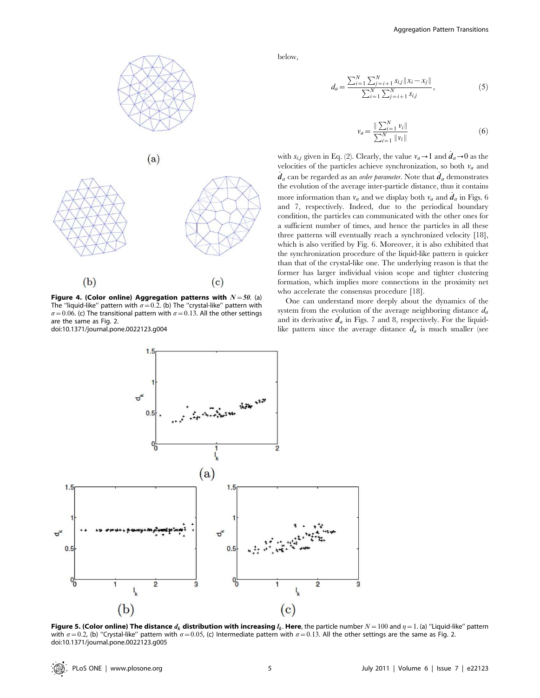

Figure 4. (Color online) Aggregation patterns with  $N=50$ . (a) The "liquid-like" pattern with  $\sigma$  = 0.2. (b) The "crystal-like" pattern with  $\sigma$  = 0.06. (c) The transitional pattern with  $\sigma$  = 0.13. All the other settings are the same as Fig. 2. doi:10.1371/journal.pone.0022123.g004

below,

$$
d_a = \frac{\sum_{i=1}^{N} \sum_{j=i+1}^{N} s_{i,j} ||x_i - x_j||}{\sum_{i=1}^{N} \sum_{j=i+1}^{N} s_{i,j}},
$$
(5)

$$
v_a = \frac{\|\sum_{i=1}^N v_i\|}{\sum_{i=1}^N \|\nu_i\|} \tag{6}
$$

with  $s_{i,j}$  given in Eq. (2). Clearly, the value  $v_a \rightarrow 1$  and  $d_a \rightarrow 0$  as the velocities of the particles achieve synchronization, so both  $v_a$  and  $\dot{d}_a$  can be regarded as an *order parameter*. Note that  $\dot{d}_a$  demonstrates the evolution of the average inter-particle distance, thus it contains more information than  $v_a$  and we display both  $v_a$  and  $\dot{d}_a$  in Figs. 6 and 7, respectively. Indeed, due to the periodical boundary condition, the particles can communicated with the other ones for a sufficient number of times, and hence the particles in all these three patterns will eventually reach a synchronized velocity [18], which is also verified by Fig. 6. Moreover, it is also exhibited that the synchronization procedure of the liquid-like pattern is quicker than that of the crystal-like one. The underlying reason is that the former has larger individual vision scope and tighter clustering formation, which implies more connections in the proximity net who accelerate the consensus procedure [18].

One can understand more deeply about the dynamics of the system from the evolution of the average neighboring distance  $d_a$ and its derivative  $d_a$  in Figs. 7 and 8, respectively. For the liquidlike pattern since the average distance  $d_a$  is much smaller (see



**Figure 5. (Color online) The distance**  $d_k$  **distribution with increasing**  $l_k$ **. Here, the particle number**  $N=100$  **and**  $\eta=1$ **. (a) "Liquid-like" pattern** with  $\sigma$  = 0.2, (b) "Crystal-like" pattern with  $\sigma$  = 0.05, (c) Intermediate pattern with  $\sigma$  = 0.13. All the other settings are the same as Fig. 2. doi:10.1371/journal.pone.0022123.g005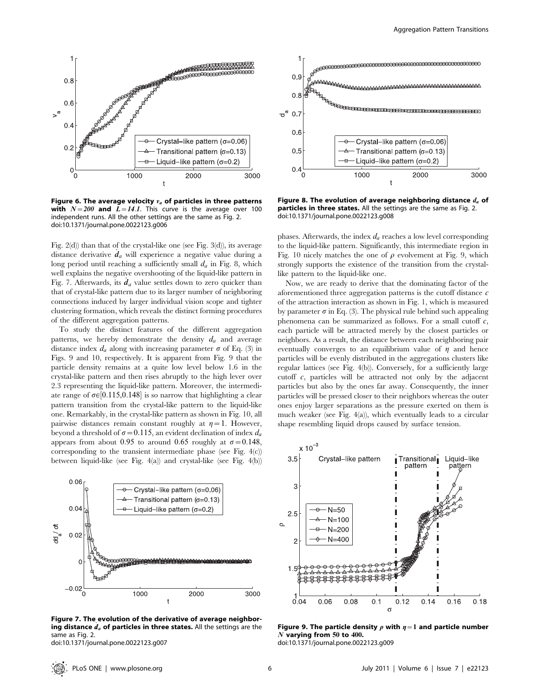

Figure 6. The average velocity  $v_a$  of particles in three patterns with  $N=200$  and  $L=14.1$ . This curve is the average over 100 independent runs. All the other settings are the same as Fig. 2. doi:10.1371/journal.pone.0022123.g006

Fig. 2(d)) than that of the crystal-like one (see Fig. 3(d)), its average distance derivative  $d_a$  will experience a negative value during a long period until reaching a sufficiently small  $d_a$  in Fig. 8, which well explains the negative overshooting of the liquid-like pattern in Fig. 7. Afterwards, its  $d_a$  value settles down to zero quicker than that of crystal-like pattern due to its larger number of neighboring connections induced by larger individual vision scope and tighter clustering formation, which reveals the distinct forming procedures of the different aggregation patterns.

To study the distinct features of the different aggregation patterns, we hereby demonstrate the density  $d_a$  and average distance index  $d_a$  along with increasing parameter  $\sigma$  of Eq. (3) in Figs. 9 and 10, respectively. It is apparent from Fig. 9 that the particle density remains at a quite low level below 1.6 in the crystal-like pattern and then rises abruptly to the high lever over 2.3 representing the liquid-like pattern. Moreover, the intermediate range of  $\sigma \in [0.115, 0.148]$  is so narrow that highlighting a clear pattern transition from the crystal-like pattern to the liquid-like one. Remarkably, in the crystal-like pattern as shown in Fig. 10, all pairwise distances remain constant roughly at  $\eta = 1$ . However, beyond a threshold of  $\sigma$  = 0.115, an evident declination of index  $d_a$ appears from about 0.95 to around 0.65 roughly at  $\sigma = 0.148$ , corresponding to the transient intermediate phase (see Fig. 4(c)) between liquid-like (see Fig. 4(a)) and crystal-like (see Fig. 4(b))

![](_page_6_Figure_5.jpeg)

Figure 7. The evolution of the derivative of average neighboring distance  $d_a$  of particles in three states. All the settings are the same as Fig. 2.

doi:10.1371/journal.pone.0022123.g007

![](_page_6_Figure_8.jpeg)

Figure 8. The evolution of average neighboring distance  $d_a$  of particles in three states. All the settings are the same as Fig. 2. doi:10.1371/journal.pone.0022123.g008

phases. Afterwards, the index  $d_a$  reaches a low level corresponding to the liquid-like pattern. Significantly, this intermediate region in Fig. 10 nicely matches the one of  $\rho$  evolvement at Fig. 9, which strongly supports the existence of the transition from the crystallike pattern to the liquid-like one.

Now, we are ready to derive that the dominating factor of the aforementioned three aggregation patterns is the cutoff distance  $c$ of the attraction interaction as shown in Fig. 1, which is measured by parameter  $\sigma$  in Eq. (3). The physical rule behind such appealing phenomena can be summarized as follows. For a small cutoff  $c$ , each particle will be attracted merely by the closest particles or neighbors. As a result, the distance between each neighboring pair eventually converges to an equilibrium value of  $\eta$  and hence particles will be evenly distributed in the aggregations clusters like regular lattices (see Fig. 4(b)). Conversely, for a sufficiently large cutoff c, particles will be attracted not only by the adjacent particles but also by the ones far away. Consequently, the inner particles will be pressed closer to their neighbors whereas the outer ones enjoy larger separations as the pressure exerted on them is much weaker (see Fig. 4(a)), which eventually leads to a circular shape resembling liquid drops caused by surface tension.

![](_page_6_Figure_12.jpeg)

Figure 9. The particle density  $\rho$  with  $\eta=1$  and particle number N varying from 50 to 400.

doi:10.1371/journal.pone.0022123.g009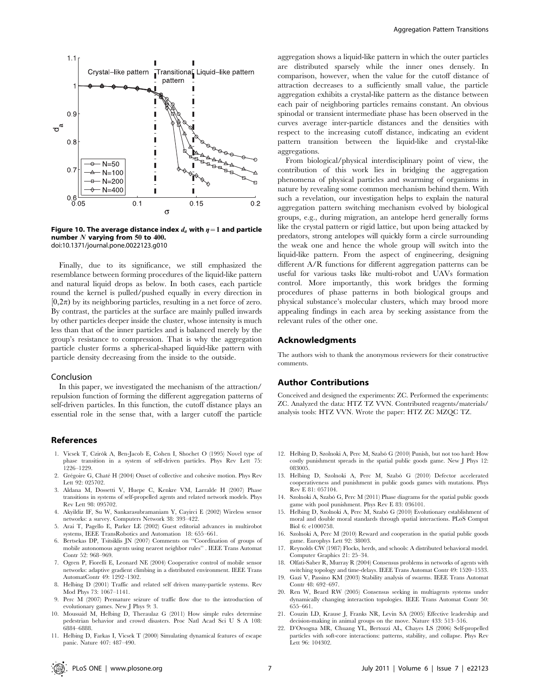![](_page_7_Figure_0.jpeg)

Figure 10. The average distance index  $d_a$  with  $\eta = 1$  and particle number  $N$  varying from 50 to 400. doi:10.1371/journal.pone.0022123.g010

Finally, due to its significance, we still emphasized the resemblance between forming procedures of the liquid-like pattern and natural liquid drops as below. In both cases, each particle round the kernel is pulled/pushed equally in every direction in  $(0,2\pi)$  by its neighboring particles, resulting in a net force of zero. By contrast, the particles at the surface are mainly pulled inwards by other particles deeper inside the cluster, whose intensity is much less than that of the inner particles and is balanced merely by the group's resistance to compression. That is why the aggregation particle cluster forms a spherical-shaped liquid-like pattern with particle density decreasing from the inside to the outside.

#### Conclusion

In this paper, we investigated the mechanism of the attraction/ repulsion function of forming the different aggregation patterns of self-driven particles. In this function, the cutoff distance plays an essential role in the sense that, with a larger cutoff the particle

#### References

- 1. Vicsek T, Czirók A, Ben-Jacob E, Cohen I, Shochet O (1995) Novel type of phase transition in a system of self-driven particles. Phys Rev Lett 75: 1226–1229.
- 2. Grégoire G, Chaté H (2004) Onset of collective and cohesive motion. Phys Rev Lett 92: 025702.
- 3. Aldana M, Dossetti V, Huepe C, Kenkre VM, Larralde H (2007) Phase transitions in systems of self-propelled agents and related network models. Phys Rev Lett 98: 095702.
- 4. Akyildiz IF, Su W, Sankarasubramaniam Y, Cayirci E (2002) Wireless sensor networks: a survey. Computers Network 38: 393–422.
- 5. Arai T, Pagello E, Parker LE (2002) Guest editorial advances in multirobot systems, IEEE TransRobotics and Automation 18: 655–661.
- 6. Bertsekas DP, Tsitsiklis JN (2007) Comments on ''Coordination of groups of mobile autonomous agents using nearest neighbor rules'' . IEEE Trans Automat Contr 52: 968–969.
- 7. Ogren P, Fiorelli E, Leonard NE (2004) Cooperative control of mobile sensor networks: adaptive gradient climbing in a distributed environment. IEEE Trans AutomatContr 49: 1292–1302.
- 8. Helbing D (2001) Traffic and related self driven many-particle systems. Rev Mod Phys 73: 1067–1141.
- 9. Perc M (2007) Premature seizure of traffic flow due to the introduction of evolutionary games. New J Phys 9: 3.
- 10. Moussaid M, Helbing D, Theraulaz G (2011) How simple rules determine pedestrian behavior and crowd disasters. Proc Natl Acad Sci U S A 108: 6884–6888.
- 11. Helbing D, Farkas I, Vicsek T (2000) Simulating dynamical features of escape panic. Nature 407: 487–490.

aggregation shows a liquid-like pattern in which the outer particles are distributed sparsely while the inner ones densely. In comparison, however, when the value for the cutoff distance of attraction decreases to a sufficiently small value, the particle aggregation exhibits a crystal-like pattern as the distance between each pair of neighboring particles remains constant. An obvious spinodal or transient intermediate phase has been observed in the curves average inter-particle distances and the densities with respect to the increasing cutoff distance, indicating an evident pattern transition between the liquid-like and crystal-like aggregations.

From biological/physical interdisciplinary point of view, the contribution of this work lies in bridging the aggregation phenomena of physical particles and swarming of organisms in nature by revealing some common mechanism behind them. With such a revelation, our investigation helps to explain the natural aggregation pattern switching mechanism evolved by biological groups, e.g., during migration, an antelope herd generally forms like the crystal pattern or rigid lattice, but upon being attacked by predators, strong antelopes will quickly form a circle surrounding the weak one and hence the whole group will switch into the liquid-like pattern. From the aspect of engineering, designing different A/R functions for different aggregation patterns can be useful for various tasks like multi-robot and UAVs formation control. More importantly, this work bridges the forming procedures of phase patterns in both biological groups and physical substance's molecular clusters, which may brood more appealing findings in each area by seeking assistance from the relevant rules of the other one.

#### Acknowledgments

The authors wish to thank the anonymous reviewers for their constructive comments.

#### Author Contributions

Conceived and designed the experiments: ZC. Performed the experiments: ZC. Analyzed the data: HTZ TZ VVN. Contributed reagents/materials/ analysis tools: HTZ VVN. Wrote the paper: HTZ ZC MZQC TZ.

- 12. Helbing D, Szolnoki A, Perc M, Szabó G (2010) Punish, but not too hard: How costly punishment spreads in the spatial public goods game. New J Phys 12: 083005.
- 13. Helbing D, Szolnoki A, Perc M, Szabó G (2010) Defector accelerated cooperativeness and punishment in public goods games with mutations. Phys Rev E 81: 057104.
- 14. Szolnoki A, Szabó G, Perc M (2011) Phase diagrams for the spatial public goods game with pool punishment. Phys Rev E 83: 036101.
- 15. Helbing D, Szolnoki A, Perc M, Szabó G (2010) Evolutionary establishment of moral and double moral standards through spatial interactions. PLoS Comput Biol 6: e1000758.
- 16. Szolnoki A, Perc M (2010) Reward and cooperation in the spatial public goods game. Europhys Lett 92: 38003.
- 17. Reynolds CW (1987) Flocks, herds, and schools: A distributed behavioral model. Computer Graphics 21: 25–34.
- 18. Olfati-Saber R, Murray R (2004) Consensus problems in networks of agents with switching topology and time-delays. IEEE Trans Automat Contr 49: 1520–1533.
- 19. Gazi V, Passino KM (2003) Stability analysis of swarms. IEEE Trans Automat Contr 48: 692–697.
- 20. Ren W, Beard RW (2005) Consensus seeking in multiagents systems under dynamically changing interaction topologies. IEEE Trans Automat Contr 50: 655–661.
- 21. Couzin LD, Krause J, Franks NR, Levin SA (2005) Effective leadership and decision-making in animal groups on the move. Nature 433: 513–516.
- 22. D'Orsogna MR, Chuang YL, Bertozzi AL, Chayes LS (2006) Self-propelled particles with soft-core interactions: patterns, stability, and collapse. Phys Rev Lett 96: 104302.